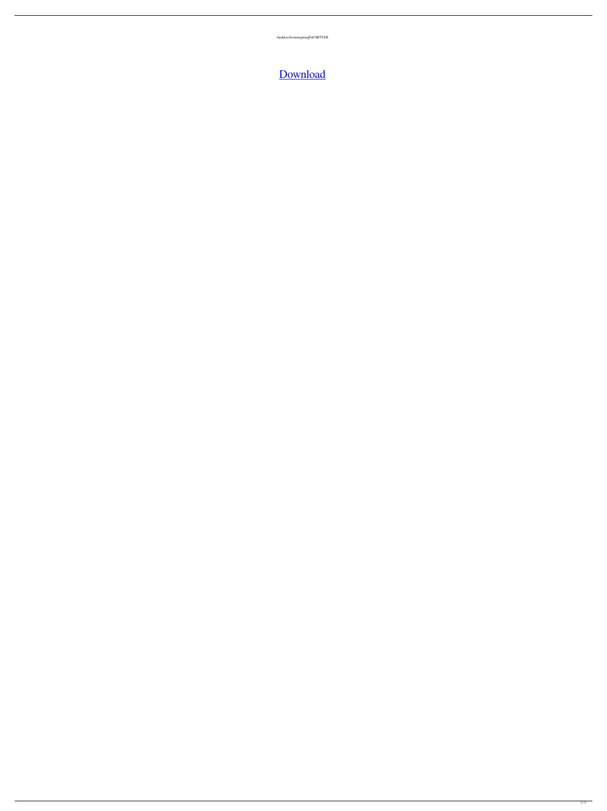AnakkecilvstantegirangFull BETTER

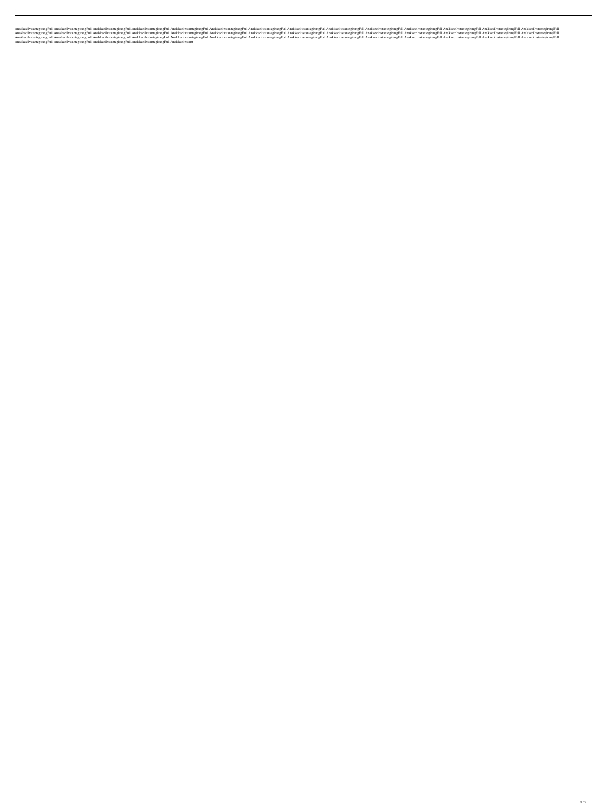AnakkecilvstantegirangFull AnakkecilvstantegirangFull AnakkecilvstantegirangFull AnakkecilvstantegirangFull AnakkecilvstantegirangFull AnakkecilvstantegirangFull AnakkecilvstantegirangFull AnakkecilvstantegirangFull Anakke AnakkecilvstantegirangFull AnakkecilvstantegirangFull AnakkecilvstantegirangFull AnakkecilvstantegirangFull AnakkecilvstantegirangFull AnakkecilvstantegirangFull AnakkecilvstantegirangFull AnakkecilvstantegirangFull Anakke AnakkecilvstantegirangFull AnakkecilvstantegirangFull AnakkecilvstantegirangFull AnakkecilvstantegirangFull AnakkecilvstantegirangFull AnakkecilvstantegirangFull AnakkecilvstantegirangFull AnakkecilvstantegirangFull Anakke AnakkecilvstantegirangFull AnakkecilvstantegirangFull AnakkecilvstantegirangFull AnakkecilvstantegirangFull Anakkecilvstant